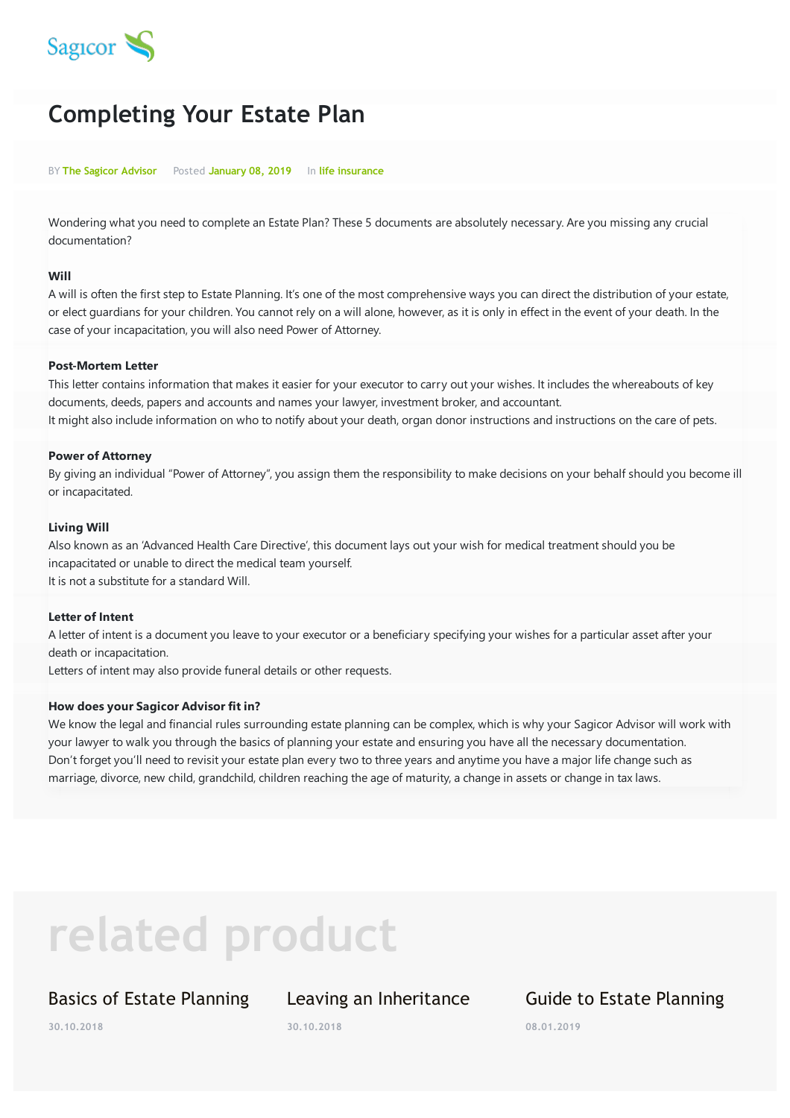

# **Completing Your Estate Plan**

BY **The Sagicor Advisor** Posted **January 08, 2019** In **life insurance**

Wondering what you need to complete an Estate Plan? These 5 documents are absolutely necessary. Are you missing any crucial documentation?

#### **Will**

A will is often the first step to Estate Planning. It's one of the most comprehensive ways you can direct the distribution of your estate, or elect guardians for your children. You cannot rely on a will alone, however, as it is only in effect in the event of your death. In the case of your incapacitation, you will also need Power of Attorney.

#### **Post-Mortem Letter**

This letter contains information that makes it easier for your executor to carry out your wishes. It includes the whereabouts of key documents, deeds, papers and accounts and names your lawyer, investment broker, and accountant. It might also include information on who to notify about your death, organ donor instructions and instructions on the care of pets.

#### **Power of Attorney**

By giving an individual "Power of Attorney", you assign them the responsibility to make decisions on your behalf should you become ill or incapacitated.

#### **Living Will**

Also known as an 'Advanced Health Care Directive', this document lays out your wish for medical treatment should you be incapacitated or unable to direct the medical team yourself. It is not a substitute for a standard Will.

#### **Letter of Intent**

A letter of intent is a document you leave to your executor or a beneficiary specifying your wishes for a particular asset after your death or incapacitation.

Letters of intent may also provide funeral details or other requests.

#### **How does your Sagicor Advisor fit in?**

We know the legal and financial rules surrounding estate planning can be complex, which is why your Sagicor Advisor will work with your lawyer to walk you through the basics of planning your estate and ensuring you have all the necessary documentation. Don't forget you'll need to revisit your estate plan every two to three years and anytime you have a major life change such as marriage, divorce, new child, grandchild, children reaching the age of maturity, a change in assets or change in tax laws.

# **related product**

### Basics of Estate Planning

# Leaving an Inheritance

**30.10.2018**

## Guide to Estate Planning

**08.01.2019**

**30.10.2018**